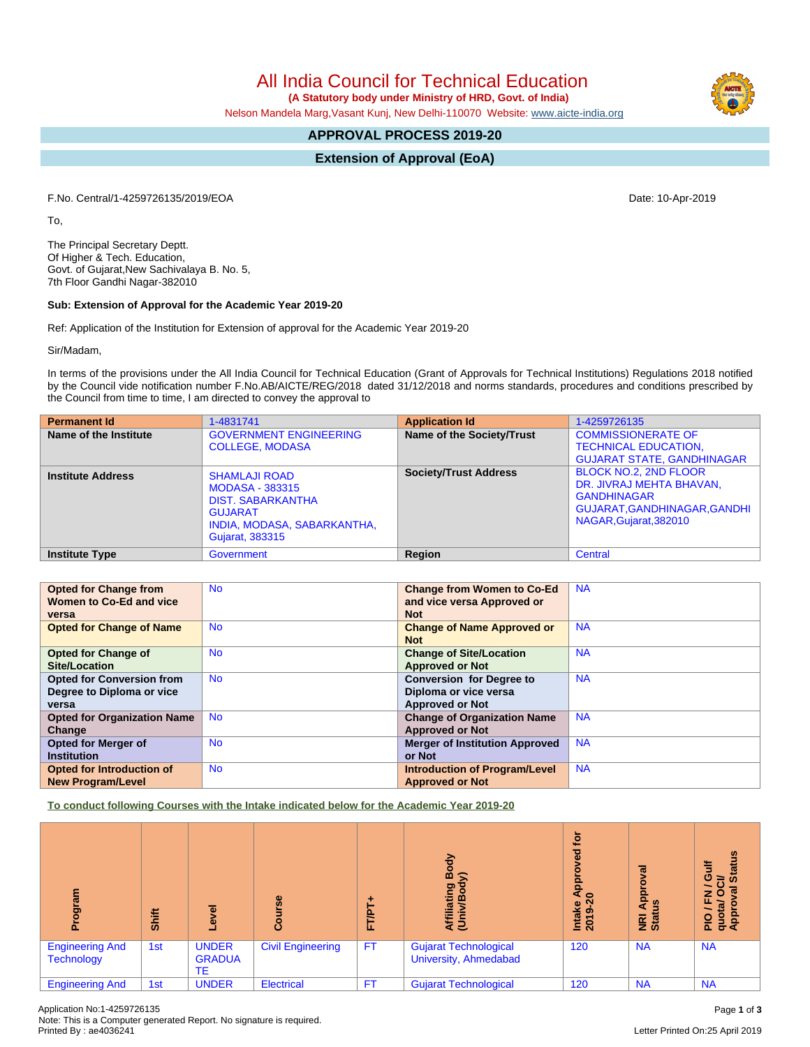All India Council for Technical Education

 **(A Statutory body under Ministry of HRD, Govt. of India)**

Nelson Mandela Marg,Vasant Kunj, New Delhi-110070 Website: [www.aicte-india.org](http://www.aicte-india.org)

# **APPROVAL PROCESS 2019-20**

**Extension of Approval (EoA)**

F.No. Central/1-4259726135/2019/EOA Date: 10-Apr-2019

To,

The Principal Secretary Deptt. Of Higher & Tech. Education, Govt. of Gujarat,New Sachivalaya B. No. 5, 7th Floor Gandhi Nagar-382010

#### **Sub: Extension of Approval for the Academic Year 2019-20**

Ref: Application of the Institution for Extension of approval for the Academic Year 2019-20

Sir/Madam,

In terms of the provisions under the All India Council for Technical Education (Grant of Approvals for Technical Institutions) Regulations 2018 notified by the Council vide notification number F.No.AB/AICTE/REG/2018 dated 31/12/2018 and norms standards, procedures and conditions prescribed by the Council from time to time, I am directed to convey the approval to

| <b>Permanent Id</b>      | 1-4831741                                                                                                                                             | <b>Application Id</b>        | 1-4259726135                                                                                                                             |
|--------------------------|-------------------------------------------------------------------------------------------------------------------------------------------------------|------------------------------|------------------------------------------------------------------------------------------------------------------------------------------|
| Name of the Institute    | <b>GOVERNMENT ENGINEERING</b><br><b>COLLEGE, MODASA</b>                                                                                               | Name of the Society/Trust    | <b>COMMISSIONERATE OF</b><br><b>TECHNICAL EDUCATION,</b><br><b>GUJARAT STATE, GANDHINAGAR</b>                                            |
| <b>Institute Address</b> | <b>SHAMLAJI ROAD</b><br><b>MODASA - 383315</b><br><b>DIST. SABARKANTHA</b><br><b>GUJARAT</b><br>INDIA, MODASA, SABARKANTHA,<br><b>Gujarat, 383315</b> | <b>Society/Trust Address</b> | <b>BLOCK NO.2. 2ND FLOOR</b><br>DR. JIVRAJ MEHTA BHAVAN,<br><b>GANDHINAGAR</b><br>GUJARAT, GANDHINAGAR, GANDHI<br>NAGAR, Gujarat, 382010 |
| <b>Institute Type</b>    | Government                                                                                                                                            | Region                       | Central                                                                                                                                  |

|                                    |           |                                       | <b>NA</b> |
|------------------------------------|-----------|---------------------------------------|-----------|
| <b>Opted for Change from</b>       | <b>No</b> | <b>Change from Women to Co-Ed</b>     |           |
| Women to Co-Ed and vice            |           | and vice versa Approved or            |           |
| versa                              |           | <b>Not</b>                            |           |
| <b>Opted for Change of Name</b>    | <b>No</b> | <b>Change of Name Approved or</b>     | <b>NA</b> |
|                                    |           | <b>Not</b>                            |           |
| <b>Opted for Change of</b>         | <b>No</b> | <b>Change of Site/Location</b>        | <b>NA</b> |
| <b>Site/Location</b>               |           | <b>Approved or Not</b>                |           |
| <b>Opted for Conversion from</b>   | <b>No</b> | <b>Conversion for Degree to</b>       | <b>NA</b> |
| Degree to Diploma or vice          |           | Diploma or vice versa                 |           |
| versa                              |           | <b>Approved or Not</b>                |           |
| <b>Opted for Organization Name</b> | <b>No</b> | <b>Change of Organization Name</b>    | <b>NA</b> |
| Change                             |           | <b>Approved or Not</b>                |           |
| Opted for Merger of                | <b>No</b> | <b>Merger of Institution Approved</b> | <b>NA</b> |
| <b>Institution</b>                 |           | or Not                                |           |
| <b>Opted for Introduction of</b>   | <b>No</b> | <b>Introduction of Program/Level</b>  | <b>NA</b> |
| <b>New Program/Level</b>           |           | <b>Approved or Not</b>                |           |

**To conduct following Courses with the Intake indicated below for the Academic Year 2019-20**

| ogram                                       | Shift | ಕ<br>٩                              | rse<br>Ξ<br>ပ္ပြ         | FT/P      | 증<br>ŏ.<br>lating<br>₹Ē                                      | ÷ة<br>꾱<br>윤<br>$\circ$<br>Intake<br>2019-2 | ख़<br>o.<br><b>Appl</b><br>四<br><b>NRI</b><br>Stat | <b>Status</b><br>₹<br>O<br>$\overline{5}$<br>z o<br>ш.<br>$\mathbf{z}$<br><b>Pisch</b><br>App |
|---------------------------------------------|-------|-------------------------------------|--------------------------|-----------|--------------------------------------------------------------|---------------------------------------------|----------------------------------------------------|-----------------------------------------------------------------------------------------------|
| <b>Engineering And</b><br><b>Technology</b> | 1st   | <b>UNDER</b><br><b>GRADUA</b><br>TE | <b>Civil Engineering</b> | <b>FT</b> | <b>Gujarat Technological</b><br><b>University, Ahmedabad</b> | 120                                         | <b>NA</b>                                          | <b>NA</b>                                                                                     |
| <b>Engineering And</b>                      | 1st   | <b>UNDER</b>                        | <b>Electrical</b>        | <b>FT</b> | <b>Gujarat Technological</b>                                 | 120                                         | <b>NA</b>                                          | <b>NA</b>                                                                                     |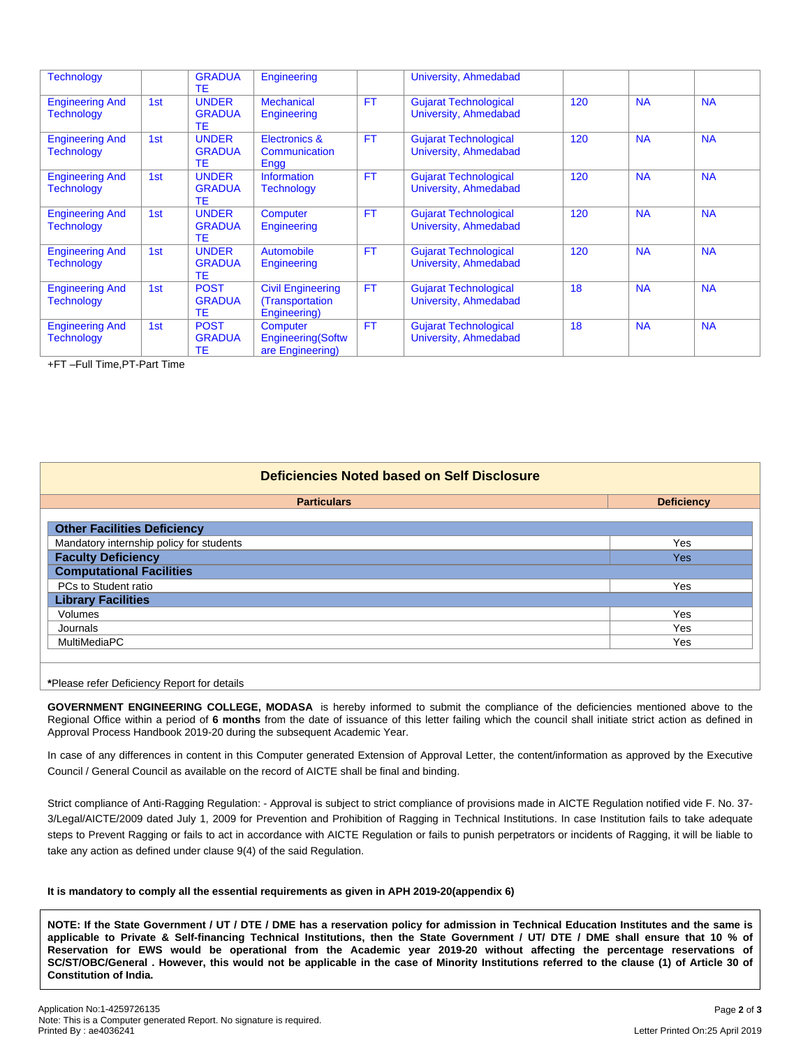| <b>Technology</b>                           |                 | <b>GRADUA</b><br>TE                 | Engineering                                                 |           | University, Ahmedabad                                 |     |           |           |
|---------------------------------------------|-----------------|-------------------------------------|-------------------------------------------------------------|-----------|-------------------------------------------------------|-----|-----------|-----------|
| <b>Engineering And</b><br><b>Technology</b> | 1st             | <b>UNDER</b><br><b>GRADUA</b><br>TE | <b>Mechanical</b><br>Engineering                            | <b>FT</b> | <b>Gujarat Technological</b><br>University, Ahmedabad | 120 | <b>NA</b> | <b>NA</b> |
| <b>Engineering And</b><br><b>Technology</b> | 1st             | <b>UNDER</b><br><b>GRADUA</b><br>TE | Electronics &<br>Communication<br>Engg                      | <b>FT</b> | <b>Gujarat Technological</b><br>University, Ahmedabad | 120 | <b>NA</b> | <b>NA</b> |
| <b>Engineering And</b><br><b>Technology</b> | 1st             | <b>UNDER</b><br><b>GRADUA</b><br>TE | Information<br><b>Technology</b>                            | <b>FT</b> | <b>Gujarat Technological</b><br>University, Ahmedabad | 120 | <b>NA</b> | <b>NA</b> |
| <b>Engineering And</b><br><b>Technology</b> | 1st             | <b>UNDER</b><br><b>GRADUA</b><br>TE | Computer<br>Engineering                                     | <b>FT</b> | <b>Gujarat Technological</b><br>University, Ahmedabad | 120 | <b>NA</b> | <b>NA</b> |
| <b>Engineering And</b><br><b>Technology</b> | 1st             | <b>UNDER</b><br><b>GRADUA</b><br>TE | Automobile<br>Engineering                                   | <b>FT</b> | <b>Gujarat Technological</b><br>University, Ahmedabad | 120 | <b>NA</b> | <b>NA</b> |
| <b>Engineering And</b><br><b>Technology</b> | 1 <sub>st</sub> | <b>POST</b><br><b>GRADUA</b><br>TE  | <b>Civil Engineering</b><br>(Transportation<br>Engineering) | <b>FT</b> | <b>Gujarat Technological</b><br>University, Ahmedabad | 18  | <b>NA</b> | <b>NA</b> |
| <b>Engineering And</b><br><b>Technology</b> | 1st             | <b>POST</b><br><b>GRADUA</b><br>ТE  | Computer<br><b>Engineering</b> (Softw<br>are Engineering)   | <b>FT</b> | <b>Gujarat Technological</b><br>University, Ahmedabad | 18  | <b>NA</b> | <b>NA</b> |

+FT –Full Time,PT-Part Time

| Deficiencies Noted based on Self Disclosure |                   |  |  |  |  |
|---------------------------------------------|-------------------|--|--|--|--|
| <b>Particulars</b>                          | <b>Deficiency</b> |  |  |  |  |
| <b>Other Facilities Deficiency</b>          |                   |  |  |  |  |
| Mandatory internship policy for students    | Yes               |  |  |  |  |
| <b>Faculty Deficiency</b>                   | <b>Yes</b>        |  |  |  |  |
| <b>Computational Facilities</b>             |                   |  |  |  |  |
| PCs to Student ratio                        | Yes               |  |  |  |  |
| <b>Library Facilities</b>                   |                   |  |  |  |  |
| Volumes                                     | Yes               |  |  |  |  |
| Journals                                    | Yes               |  |  |  |  |
| MultiMediaPC                                | Yes               |  |  |  |  |
|                                             |                   |  |  |  |  |

**\***Please refer Deficiency Report for details

**GOVERNMENT ENGINEERING COLLEGE, MODASA** is hereby informed to submit the compliance of the deficiencies mentioned above to the Regional Office within a period of **6 months** from the date of issuance of this letter failing which the council shall initiate strict action as defined in Approval Process Handbook 2019-20 during the subsequent Academic Year.

In case of any differences in content in this Computer generated Extension of Approval Letter, the content/information as approved by the Executive Council / General Council as available on the record of AICTE shall be final and binding.

Strict compliance of Anti-Ragging Regulation: - Approval is subject to strict compliance of provisions made in AICTE Regulation notified vide F. No. 37- 3/Legal/AICTE/2009 dated July 1, 2009 for Prevention and Prohibition of Ragging in Technical Institutions. In case Institution fails to take adequate steps to Prevent Ragging or fails to act in accordance with AICTE Regulation or fails to punish perpetrators or incidents of Ragging, it will be liable to take any action as defined under clause 9(4) of the said Regulation.

#### **It is mandatory to comply all the essential requirements as given in APH 2019-20(appendix 6)**

NOTE: If the State Government / UT / DTE / DME has a reservation policy for admission in Technical Education Institutes and the same is applicable to Private & Self-financing Technical Institutions, then the State Government / UT/ DTE / DME shall ensure that 10 % of Reservation for EWS would be operational from the Academic year 2019-20 without affecting the percentage reservations of SC/ST/OBC/General . However, this would not be applicable in the case of Minority Institutions referred to the clause (1) of Article 30 of **Constitution of India.**